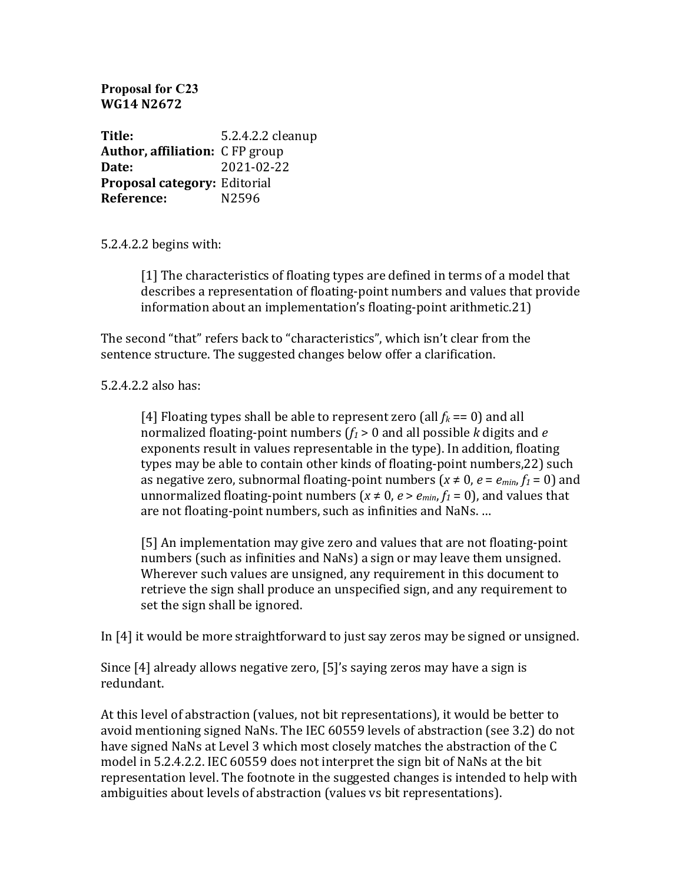**Proposal for C23 WG14 N2672**

**Title:** 5.2.4.2.2 cleanup **Author, affiliation:** CFP group **Date:** 2021-02-22 **Proposal category:** Editorial **Reference:** N2596

5.2.4.2.2 begins with:

[1] The characteristics of floating types are defined in terms of a model that describes a representation of floating-point numbers and values that provide information about an implementation's floating-point arithmetic.21)

The second "that" refers back to "characteristics", which isn't clear from the sentence structure. The suggested changes below offer a clarification.

5.2.4.2.2 also has:

[4] Floating types shall be able to represent zero (all  $f_k == 0$ ) and all normalized floating-point numbers  $(f_1 > 0)$  and all possible *k* digits and *e* exponents result in values representable in the type). In addition, floating types may be able to contain other kinds of floating-point numbers, 22) such as negative zero, subnormal floating-point numbers  $(x \neq 0, e = e_{min}, f_1 = 0)$  and unnormalized floating-point numbers ( $x \neq 0$ ,  $e > e_{min}$ ,  $f_1 = 0$ ), and values that are not floating-point numbers, such as infinities and NaNs. ...

[5] An implementation may give zero and values that are not floating-point numbers (such as infinities and NaNs) a sign or may leave them unsigned. Wherever such values are unsigned, any requirement in this document to retrieve the sign shall produce an unspecified sign, and any requirement to set the sign shall be ignored.

In  $[4]$  it would be more straightforward to just say zeros may be signed or unsigned.

Since  $[4]$  already allows negative zero,  $[5]'$ s saying zeros may have a sign is redundant. 

At this level of abstraction (values, not bit representations), it would be better to avoid mentioning signed NaNs. The IEC 60559 levels of abstraction (see 3.2) do not have signed NaNs at Level 3 which most closely matches the abstraction of the C model in 5.2.4.2.2. IEC 60559 does not interpret the sign bit of NaNs at the bit representation level. The footnote in the suggested changes is intended to help with ambiguities about levels of abstraction (values vs bit representations).